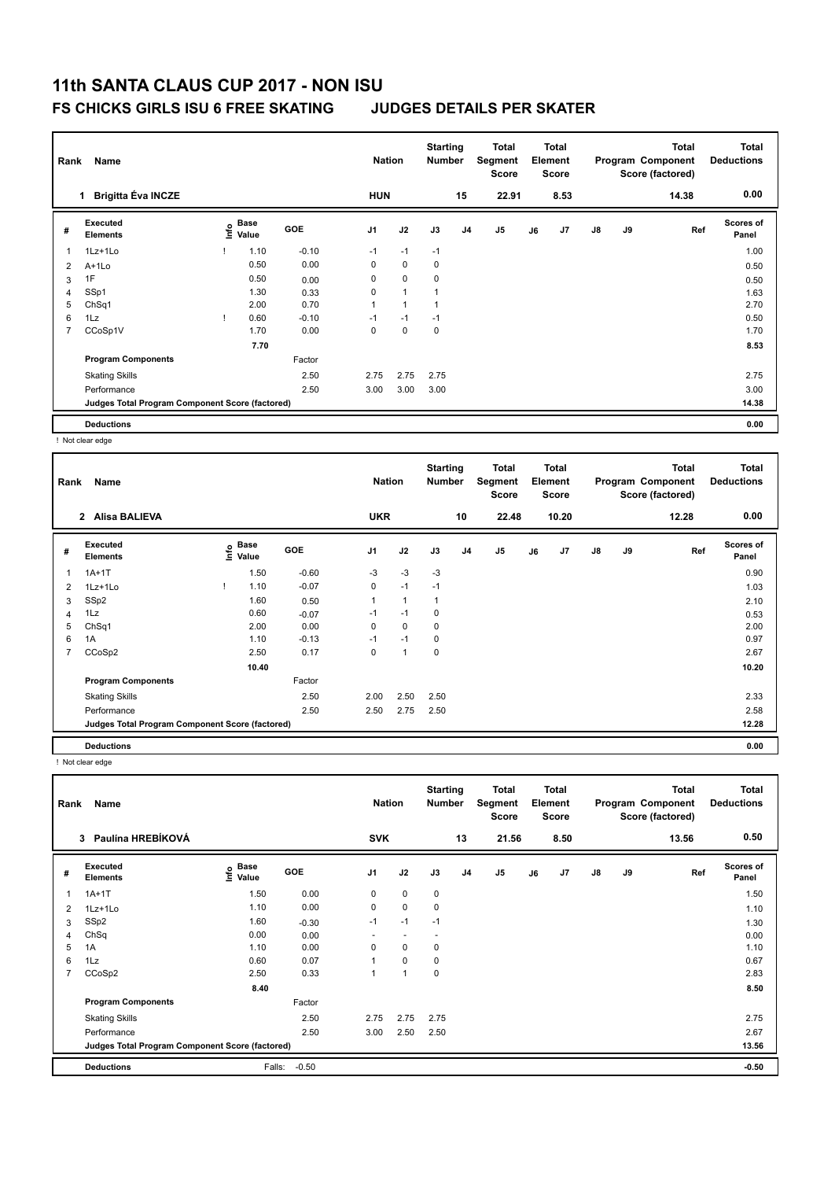### **FS CHICKS GIRLS ISU 6 FREE SKATING JUDGES DETAILS PER SKATER**

| Rank | Name                                            |      |               |         | <b>Nation</b>  |              | <b>Starting</b><br><b>Number</b> |                | Total<br>Segment<br><b>Score</b> |    | Total<br>Element<br><b>Score</b> |               |    | <b>Total</b><br>Program Component<br>Score (factored) | <b>Total</b><br><b>Deductions</b> |
|------|-------------------------------------------------|------|---------------|---------|----------------|--------------|----------------------------------|----------------|----------------------------------|----|----------------------------------|---------------|----|-------------------------------------------------------|-----------------------------------|
|      | <b>Brigitta Éva INCZE</b>                       |      |               |         | <b>HUN</b>     |              |                                  | 15             | 22.91                            |    | 8.53                             |               |    | 14.38                                                 | 0.00                              |
| #    | <b>Executed</b><br><b>Elements</b>              | lnfo | Base<br>Value | GOE     | J <sub>1</sub> | J2           | J3                               | J <sub>4</sub> | J <sub>5</sub>                   | J6 | J7                               | $\mathsf{J}8$ | J9 | Ref                                                   | <b>Scores of</b><br>Panel         |
|      | 1Lz+1Lo                                         |      | 1.10          | $-0.10$ | $-1$           | $-1$         | $-1$                             |                |                                  |    |                                  |               |    |                                                       | 1.00                              |
| 2    | A+1Lo                                           |      | 0.50          | 0.00    | 0              | $\mathbf 0$  | $\pmb{0}$                        |                |                                  |    |                                  |               |    |                                                       | 0.50                              |
| 3    | 1F                                              |      | 0.50          | 0.00    | 0              | $\mathbf 0$  | 0                                |                |                                  |    |                                  |               |    |                                                       | 0.50                              |
| 4    | SSp1                                            |      | 1.30          | 0.33    | 0              | $\mathbf{1}$ | 1                                |                |                                  |    |                                  |               |    |                                                       | 1.63                              |
| 5    | ChSq1                                           |      | 2.00          | 0.70    | 1              | 1            | $\mathbf 1$                      |                |                                  |    |                                  |               |    |                                                       | 2.70                              |
| 6    | 1Lz                                             |      | 0.60          | $-0.10$ | $-1$           | $-1$         | $-1$                             |                |                                  |    |                                  |               |    |                                                       | 0.50                              |
| 7    | CCoSp1V                                         |      | 1.70          | 0.00    | $\Omega$       | $\mathbf 0$  | 0                                |                |                                  |    |                                  |               |    |                                                       | 1.70                              |
|      |                                                 |      | 7.70          |         |                |              |                                  |                |                                  |    |                                  |               |    |                                                       | 8.53                              |
|      | <b>Program Components</b>                       |      |               | Factor  |                |              |                                  |                |                                  |    |                                  |               |    |                                                       |                                   |
|      | <b>Skating Skills</b>                           |      |               | 2.50    | 2.75           | 2.75         | 2.75                             |                |                                  |    |                                  |               |    |                                                       | 2.75                              |
|      | Performance                                     |      |               | 2.50    | 3.00           | 3.00         | 3.00                             |                |                                  |    |                                  |               |    |                                                       | 3.00                              |
|      | Judges Total Program Component Score (factored) |      |               |         |                |              |                                  |                |                                  |    |                                  |               |    |                                                       | 14.38                             |
|      | <b>Deductions</b>                               |      |               |         |                |              |                                  |                |                                  |    |                                  |               |    |                                                       | 0.00                              |

! Not clear edge

| Rank           | Name                                            |   |               |         | <b>Nation</b>  |                | <b>Starting</b><br><b>Number</b> |                | <b>Total</b><br>Segment<br><b>Score</b> |    | <b>Total</b><br>Element<br><b>Score</b> |               |    | <b>Total</b><br>Program Component<br>Score (factored) | <b>Total</b><br><b>Deductions</b> |
|----------------|-------------------------------------------------|---|---------------|---------|----------------|----------------|----------------------------------|----------------|-----------------------------------------|----|-----------------------------------------|---------------|----|-------------------------------------------------------|-----------------------------------|
|                | <b>Alisa BALIEVA</b><br>$\overline{2}$          |   |               |         | <b>UKR</b>     |                |                                  | 10             | 22.48                                   |    | 10.20                                   |               |    | 12.28                                                 | 0.00                              |
| #              | Executed<br><b>Elements</b>                     | ۴ | Base<br>Value | GOE     | J <sub>1</sub> | J2             | J3                               | J <sub>4</sub> | J <sub>5</sub>                          | J6 | J7                                      | $\mathsf{J}8$ | J9 | Ref                                                   | Scores of<br>Panel                |
| 1              | $1A+1T$                                         |   | 1.50          | $-0.60$ | $-3$           | $-3$           | $-3$                             |                |                                         |    |                                         |               |    |                                                       | 0.90                              |
| 2              | $1Lz+1Lo$                                       |   | 1.10          | $-0.07$ | 0              | $-1$           | $-1$                             |                |                                         |    |                                         |               |    |                                                       | 1.03                              |
| 3              | SSp2                                            |   | 1.60          | 0.50    | 1              | $\overline{1}$ | -1                               |                |                                         |    |                                         |               |    |                                                       | 2.10                              |
| 4              | 1Lz                                             |   | 0.60          | $-0.07$ | $-1$           | $-1$           | 0                                |                |                                         |    |                                         |               |    |                                                       | 0.53                              |
| 5              | ChSq1                                           |   | 2.00          | 0.00    | 0              | $\mathbf 0$    | 0                                |                |                                         |    |                                         |               |    |                                                       | 2.00                              |
| 6              | 1A                                              |   | 1.10          | $-0.13$ | $-1$           | $-1$           | 0                                |                |                                         |    |                                         |               |    |                                                       | 0.97                              |
| $\overline{7}$ | CCoSp2                                          |   | 2.50          | 0.17    | 0              | $\overline{1}$ | 0                                |                |                                         |    |                                         |               |    |                                                       | 2.67                              |
|                |                                                 |   | 10.40         |         |                |                |                                  |                |                                         |    |                                         |               |    |                                                       | 10.20                             |
|                | <b>Program Components</b>                       |   |               | Factor  |                |                |                                  |                |                                         |    |                                         |               |    |                                                       |                                   |
|                | <b>Skating Skills</b>                           |   |               | 2.50    | 2.00           | 2.50           | 2.50                             |                |                                         |    |                                         |               |    |                                                       | 2.33                              |
|                | Performance                                     |   |               | 2.50    | 2.50           | 2.75           | 2.50                             |                |                                         |    |                                         |               |    |                                                       | 2.58                              |
|                | Judges Total Program Component Score (factored) |   |               |         |                |                |                                  |                |                                         |    |                                         |               |    |                                                       | 12.28                             |
|                | <b>Deductions</b>                               |   |               |         |                |                |                                  |                |                                         |    |                                         |               |    |                                                       | 0.00                              |

! Not clear edge

| Rank           | Name                                            |                            |            | <b>Nation</b>            |                | <b>Starting</b><br><b>Number</b> |                | Total<br>Segment<br>Score |    | Total<br>Element<br><b>Score</b> |    |    | <b>Total</b><br>Program Component<br>Score (factored) | <b>Total</b><br><b>Deductions</b> |
|----------------|-------------------------------------------------|----------------------------|------------|--------------------------|----------------|----------------------------------|----------------|---------------------------|----|----------------------------------|----|----|-------------------------------------------------------|-----------------------------------|
|                | Paulína HREBÍKOVÁ<br>3                          |                            |            | <b>SVK</b>               |                |                                  | 13             | 21.56                     |    | 8.50                             |    |    | 13.56                                                 | 0.50                              |
| #              | Executed<br><b>Elements</b>                     | Base<br>$\frac{e}{2}$ Base | <b>GOE</b> | J <sub>1</sub>           | J2             | J3                               | J <sub>4</sub> | J5                        | J6 | J7                               | J8 | J9 | Ref                                                   | <b>Scores of</b><br>Panel         |
|                | $1A+1T$                                         | 1.50                       | 0.00       | 0                        | $\mathbf 0$    | $\pmb{0}$                        |                |                           |    |                                  |    |    |                                                       | 1.50                              |
| 2              | 1Lz+1Lo                                         | 1.10                       | 0.00       | 0                        | $\mathbf 0$    | $\pmb{0}$                        |                |                           |    |                                  |    |    |                                                       | 1.10                              |
| 3              | SSp2                                            | 1.60                       | $-0.30$    | $-1$                     | $-1$           | $-1$                             |                |                           |    |                                  |    |    |                                                       | 1.30                              |
| $\overline{4}$ | ChSq                                            | 0.00                       | 0.00       | $\overline{\phantom{a}}$ | $\overline{a}$ | $\overline{\phantom{a}}$         |                |                           |    |                                  |    |    |                                                       | 0.00                              |
| 5              | 1A                                              | 1.10                       | 0.00       | 0                        | 0              | 0                                |                |                           |    |                                  |    |    |                                                       | 1.10                              |
| 6              | 1Lz                                             | 0.60                       | 0.07       |                          | $\mathbf 0$    | 0                                |                |                           |    |                                  |    |    |                                                       | 0.67                              |
| 7              | CCoSp2                                          | 2.50                       | 0.33       | 1                        | 1              | 0                                |                |                           |    |                                  |    |    |                                                       | 2.83                              |
|                |                                                 | 8.40                       |            |                          |                |                                  |                |                           |    |                                  |    |    |                                                       | 8.50                              |
|                | <b>Program Components</b>                       |                            | Factor     |                          |                |                                  |                |                           |    |                                  |    |    |                                                       |                                   |
|                | <b>Skating Skills</b>                           |                            | 2.50       | 2.75                     | 2.75           | 2.75                             |                |                           |    |                                  |    |    |                                                       | 2.75                              |
|                | Performance                                     |                            | 2.50       | 3.00                     | 2.50           | 2.50                             |                |                           |    |                                  |    |    |                                                       | 2.67                              |
|                | Judges Total Program Component Score (factored) |                            |            |                          |                |                                  |                |                           |    |                                  |    |    |                                                       | 13.56                             |
|                | <b>Deductions</b>                               | Falls:                     | $-0.50$    |                          |                |                                  |                |                           |    |                                  |    |    |                                                       | $-0.50$                           |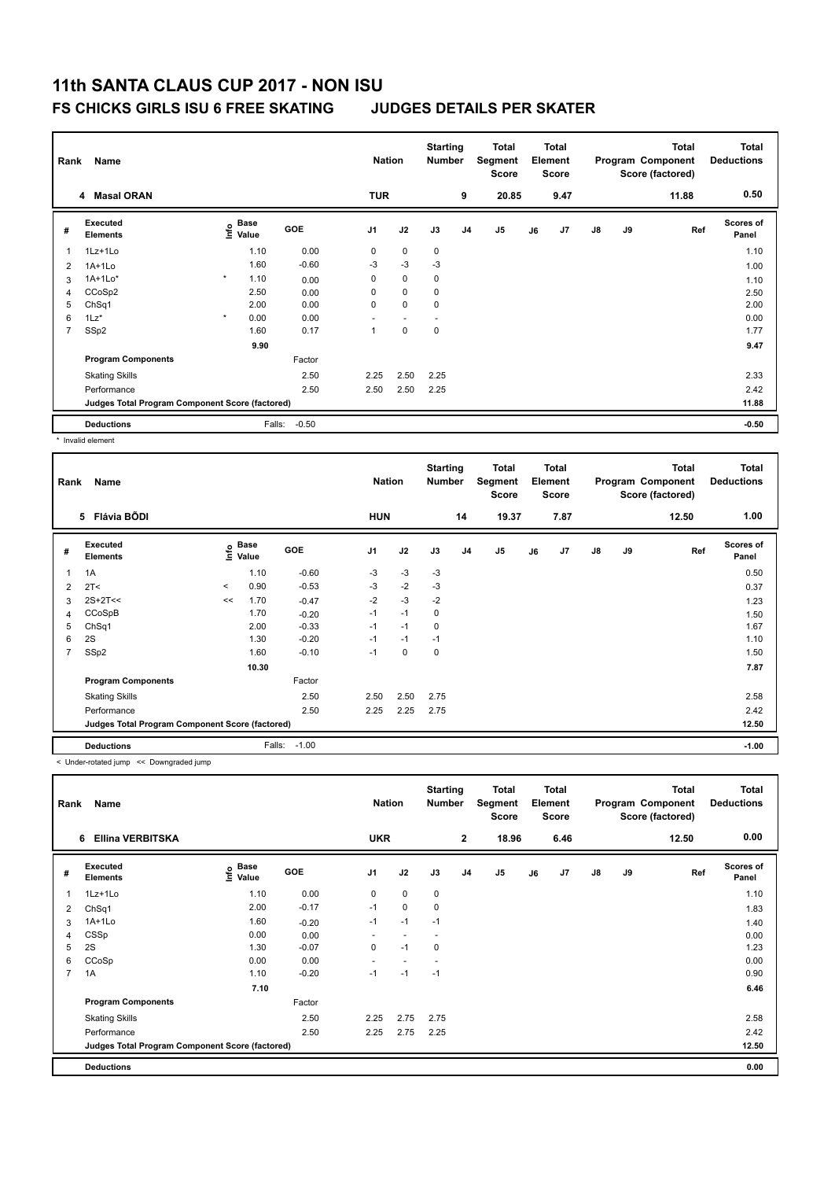### **FS CHICKS GIRLS ISU 6 FREE SKATING JUDGES DETAILS PER SKATER**

| Rank           | Name                                            |         |                           |            | <b>Nation</b> |             | <b>Starting</b><br><b>Number</b> |                | <b>Total</b><br>Segment<br><b>Score</b> |    | <b>Total</b><br>Element<br><b>Score</b> |               |    | Total<br>Program Component<br>Score (factored) | <b>Total</b><br><b>Deductions</b> |
|----------------|-------------------------------------------------|---------|---------------------------|------------|---------------|-------------|----------------------------------|----------------|-----------------------------------------|----|-----------------------------------------|---------------|----|------------------------------------------------|-----------------------------------|
|                | <b>Masal ORAN</b><br>$\overline{4}$             |         |                           |            | <b>TUR</b>    |             |                                  | 9              | 20.85                                   |    | 9.47                                    |               |    | 11.88                                          | 0.50                              |
| #              | Executed<br><b>Elements</b>                     |         | Base<br>e Base<br>E Value | <b>GOE</b> | J1            | J2          | J3                               | J <sub>4</sub> | J <sub>5</sub>                          | J6 | J7                                      | $\mathsf{J}8$ | J9 | Ref                                            | Scores of<br>Panel                |
|                | 1Lz+1Lo                                         |         | 1.10                      | 0.00       | $\mathbf 0$   | $\mathbf 0$ | $\mathbf 0$                      |                |                                         |    |                                         |               |    |                                                | 1.10                              |
| $\overline{2}$ | $1A+1Lo$                                        |         | 1.60                      | $-0.60$    | $-3$          | $-3$        | $-3$                             |                |                                         |    |                                         |               |    |                                                | 1.00                              |
| 3              | $1A+1Lo*$                                       | $\star$ | 1.10                      | 0.00       | 0             | $\mathbf 0$ | 0                                |                |                                         |    |                                         |               |    |                                                | 1.10                              |
| 4              | CCoSp2                                          |         | 2.50                      | 0.00       | $\Omega$      | $\mathbf 0$ | $\mathbf 0$                      |                |                                         |    |                                         |               |    |                                                | 2.50                              |
| 5              | ChSq1                                           |         | 2.00                      | 0.00       | $\mathbf 0$   | $\mathbf 0$ | 0                                |                |                                         |    |                                         |               |    |                                                | 2.00                              |
| 6              | $1Lz$ <sup>*</sup>                              | $\star$ | 0.00                      | 0.00       |               |             |                                  |                |                                         |    |                                         |               |    |                                                | 0.00                              |
| $\overline{7}$ | SSp2                                            |         | 1.60                      | 0.17       | 1             | $\mathbf 0$ | $\mathbf 0$                      |                |                                         |    |                                         |               |    |                                                | 1.77                              |
|                |                                                 |         | 9.90                      |            |               |             |                                  |                |                                         |    |                                         |               |    |                                                | 9.47                              |
|                | <b>Program Components</b>                       |         |                           | Factor     |               |             |                                  |                |                                         |    |                                         |               |    |                                                |                                   |
|                | <b>Skating Skills</b>                           |         |                           | 2.50       | 2.25          | 2.50        | 2.25                             |                |                                         |    |                                         |               |    |                                                | 2.33                              |
|                | Performance                                     |         |                           | 2.50       | 2.50          | 2.50        | 2.25                             |                |                                         |    |                                         |               |    |                                                | 2.42                              |
|                | Judges Total Program Component Score (factored) |         |                           |            |               |             |                                  |                |                                         |    |                                         |               |    |                                                | 11.88                             |
|                | <b>Deductions</b>                               |         | Falls:                    | $-0.50$    |               |             |                                  |                |                                         |    |                                         |               |    |                                                | $-0.50$                           |

\* Invalid element

| Rank           | Name                                            |         |                                      |         | <b>Nation</b>  |             | <b>Starting</b><br><b>Number</b> |    | Total<br>Segment<br><b>Score</b> |    | <b>Total</b><br>Element<br><b>Score</b> |    |    | <b>Total</b><br>Program Component<br>Score (factored) | <b>Total</b><br><b>Deductions</b> |
|----------------|-------------------------------------------------|---------|--------------------------------------|---------|----------------|-------------|----------------------------------|----|----------------------------------|----|-----------------------------------------|----|----|-------------------------------------------------------|-----------------------------------|
|                | Flávia BÕDI<br>5                                |         |                                      |         | <b>HUN</b>     |             |                                  | 14 | 19.37                            |    | 7.87                                    |    |    | 12.50                                                 | 1.00                              |
| #              | Executed<br><b>Elements</b>                     |         | Base<br>e <sup>Base</sup><br>⊆ Value | GOE     | J <sub>1</sub> | J2          | J3                               | J4 | J5                               | J6 | J <sub>7</sub>                          | J8 | J9 | Ref                                                   | <b>Scores of</b><br>Panel         |
| 1              | 1A                                              |         | 1.10                                 | $-0.60$ | $-3$           | $-3$        | -3                               |    |                                  |    |                                         |    |    |                                                       | 0.50                              |
| 2              | 2T <                                            | $\prec$ | 0.90                                 | $-0.53$ | -3             | $-2$        | -3                               |    |                                  |    |                                         |    |    |                                                       | 0.37                              |
| 3              | $2S+2T<<$                                       | <<      | 1.70                                 | $-0.47$ | $-2$           | $-3$        | $-2$                             |    |                                  |    |                                         |    |    |                                                       | 1.23                              |
| 4              | CCoSpB                                          |         | 1.70                                 | $-0.20$ | $-1$           | $-1$        | 0                                |    |                                  |    |                                         |    |    |                                                       | 1.50                              |
| 5              | ChSq1                                           |         | 2.00                                 | $-0.33$ | $-1$           | $-1$        | 0                                |    |                                  |    |                                         |    |    |                                                       | 1.67                              |
| 6              | 2S                                              |         | 1.30                                 | $-0.20$ | $-1$           | $-1$        | $-1$                             |    |                                  |    |                                         |    |    |                                                       | 1.10                              |
| $\overline{7}$ | SSp2                                            |         | 1.60                                 | $-0.10$ | $-1$           | $\mathbf 0$ | $\mathbf 0$                      |    |                                  |    |                                         |    |    |                                                       | 1.50                              |
|                |                                                 |         | 10.30                                |         |                |             |                                  |    |                                  |    |                                         |    |    |                                                       | 7.87                              |
|                | <b>Program Components</b>                       |         |                                      | Factor  |                |             |                                  |    |                                  |    |                                         |    |    |                                                       |                                   |
|                | <b>Skating Skills</b>                           |         |                                      | 2.50    | 2.50           | 2.50        | 2.75                             |    |                                  |    |                                         |    |    |                                                       | 2.58                              |
|                | Performance                                     |         |                                      | 2.50    | 2.25           | 2.25        | 2.75                             |    |                                  |    |                                         |    |    |                                                       | 2.42                              |
|                | Judges Total Program Component Score (factored) |         |                                      |         |                |             |                                  |    |                                  |    |                                         |    |    |                                                       | 12.50                             |
|                | <b>Deductions</b>                               |         | Falls:                               | $-1.00$ |                |             |                                  |    |                                  |    |                                         |    |    |                                                       | $-1.00$                           |

< Under-rotated jump << Downgraded jump

| Rank           | Name                                            |                             |            | <b>Nation</b>  |                | <b>Starting</b><br><b>Number</b> |                | <b>Total</b><br>Segment<br><b>Score</b> |    | <b>Total</b><br>Element<br>Score |               |    | Total<br>Program Component<br>Score (factored) | <b>Total</b><br><b>Deductions</b> |
|----------------|-------------------------------------------------|-----------------------------|------------|----------------|----------------|----------------------------------|----------------|-----------------------------------------|----|----------------------------------|---------------|----|------------------------------------------------|-----------------------------------|
|                | <b>Ellina VERBITSKA</b><br>6                    |                             |            | <b>UKR</b>     |                |                                  | $\mathbf{2}$   | 18.96                                   |    | 6.46                             |               |    | 12.50                                          | 0.00                              |
| #              | Executed<br><b>Elements</b>                     | Base<br>$\frac{6}{5}$ Value | <b>GOE</b> | J <sub>1</sub> | J2             | J3                               | J <sub>4</sub> | J <sub>5</sub>                          | J6 | J7                               | $\mathsf{J}8$ | J9 | Ref                                            | <b>Scores of</b><br>Panel         |
| $\mathbf{1}$   | 1Lz+1Lo                                         | 1.10                        | 0.00       | 0              | $\mathbf 0$    | 0                                |                |                                         |    |                                  |               |    |                                                | 1.10                              |
| 2              | ChSq1                                           | 2.00                        | $-0.17$    | $-1$           | $\mathbf 0$    | 0                                |                |                                         |    |                                  |               |    |                                                | 1.83                              |
| 3              | $1A+1Lo$                                        | 1.60                        | $-0.20$    | $-1$           | $-1$           | $-1$                             |                |                                         |    |                                  |               |    |                                                | 1.40                              |
| $\overline{4}$ | CSSp                                            | 0.00                        | 0.00       | ٠              | $\overline{a}$ | $\overline{\phantom{a}}$         |                |                                         |    |                                  |               |    |                                                | 0.00                              |
| 5              | 2S                                              | 1.30                        | $-0.07$    | 0              | $-1$           | 0                                |                |                                         |    |                                  |               |    |                                                | 1.23                              |
| 6              | CCoSp                                           | 0.00                        | 0.00       | ٠              |                |                                  |                |                                         |    |                                  |               |    |                                                | 0.00                              |
| $\overline{7}$ | 1A                                              | 1.10                        | $-0.20$    | $-1$           | $-1$           | $-1$                             |                |                                         |    |                                  |               |    |                                                | 0.90                              |
|                |                                                 | 7.10                        |            |                |                |                                  |                |                                         |    |                                  |               |    |                                                | 6.46                              |
|                | <b>Program Components</b>                       |                             | Factor     |                |                |                                  |                |                                         |    |                                  |               |    |                                                |                                   |
|                | <b>Skating Skills</b>                           |                             | 2.50       | 2.25           | 2.75           | 2.75                             |                |                                         |    |                                  |               |    |                                                | 2.58                              |
|                | Performance                                     |                             | 2.50       | 2.25           | 2.75           | 2.25                             |                |                                         |    |                                  |               |    |                                                | 2.42                              |
|                | Judges Total Program Component Score (factored) |                             |            |                |                |                                  |                |                                         |    |                                  |               |    |                                                | 12.50                             |
|                | <b>Deductions</b>                               |                             |            |                |                |                                  |                |                                         |    |                                  |               |    |                                                | 0.00                              |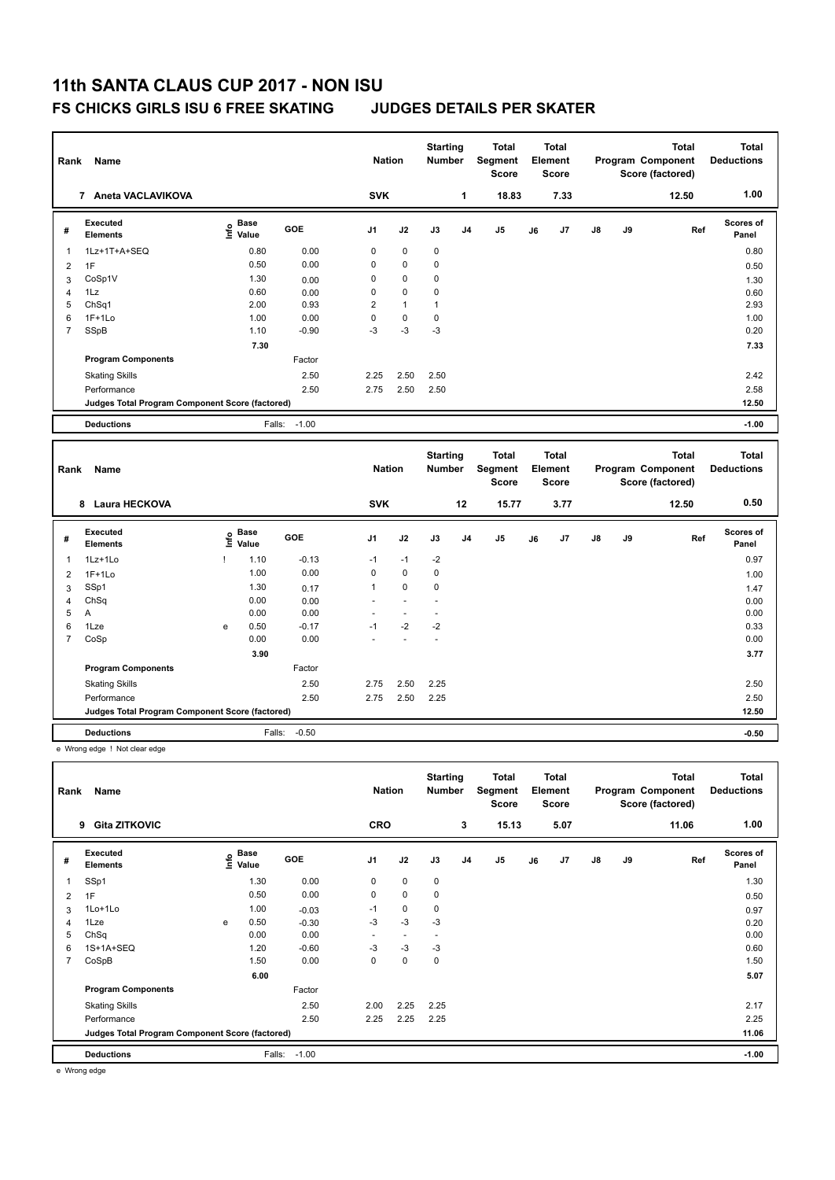### **FS CHICKS GIRLS ISU 6 FREE SKATING JUDGES DETAILS PER SKATER**

| Rank           | Name                                            |                                  |                   | <b>Nation</b>               |                               | <b>Starting</b><br>Number |                | <b>Total</b><br>Segment<br><b>Score</b> |    | <b>Total</b><br>Element<br><b>Score</b> |    |    | <b>Total</b><br>Program Component<br>Score (factored) | <b>Total</b><br><b>Deductions</b> |
|----------------|-------------------------------------------------|----------------------------------|-------------------|-----------------------------|-------------------------------|---------------------------|----------------|-----------------------------------------|----|-----------------------------------------|----|----|-------------------------------------------------------|-----------------------------------|
|                | 7 Aneta VACLAVIKOVA                             |                                  |                   | <b>SVK</b>                  |                               |                           | $\mathbf{1}$   | 18.83                                   |    | 7.33                                    |    |    | 12.50                                                 | 1.00                              |
| #              | <b>Executed</b><br><b>Elements</b>              | <b>Base</b><br>e Base<br>⊆ Value | GOE               | J <sub>1</sub>              | J2                            | J3                        | J <sub>4</sub> | J <sub>5</sub>                          | J6 | J7                                      | J8 | J9 | Ref                                                   | Scores of<br>Panel                |
| 1              | 1Lz+1T+A+SEQ                                    | 0.80                             | 0.00              | $\mathbf 0$                 | 0                             | 0                         |                |                                         |    |                                         |    |    |                                                       | 0.80                              |
| $\overline{2}$ | 1F                                              | 0.50                             | 0.00              | $\mathbf 0$                 | $\pmb{0}$                     | 0                         |                |                                         |    |                                         |    |    |                                                       | 0.50                              |
| 3              | CoSp1V                                          | 1.30                             | 0.00              | $\mathbf 0$                 | 0                             | 0                         |                |                                         |    |                                         |    |    |                                                       | 1.30                              |
| $\overline{4}$ | 1Lz                                             | 0.60                             | 0.00              | $\mathbf 0$                 | 0                             | 0                         |                |                                         |    |                                         |    |    |                                                       | 0.60                              |
| 5              | ChSq1                                           | 2.00                             | 0.93              | $\overline{2}$              | $\mathbf{1}$                  | $\mathbf{1}$              |                |                                         |    |                                         |    |    |                                                       | 2.93                              |
| 6              | $1F+1Lo$                                        | 1.00                             | 0.00              | $\mathbf 0$                 | $\mathbf 0$                   | $\mathbf 0$               |                |                                         |    |                                         |    |    |                                                       | 1.00                              |
| $\overline{7}$ | SSpB                                            | 1.10                             | $-0.90$           | $-3$                        | $-3$                          | $-3$                      |                |                                         |    |                                         |    |    |                                                       | 0.20                              |
|                |                                                 | 7.30                             |                   |                             |                               |                           |                |                                         |    |                                         |    |    |                                                       | 7.33                              |
|                | <b>Program Components</b>                       |                                  | Factor            |                             |                               |                           |                |                                         |    |                                         |    |    |                                                       |                                   |
|                | <b>Skating Skills</b>                           |                                  | 2.50              | 2.25                        | 2.50                          | 2.50                      |                |                                         |    |                                         |    |    |                                                       | 2.42                              |
|                | Performance                                     |                                  | 2.50              | 2.75                        | 2.50                          | 2.50                      |                |                                         |    |                                         |    |    |                                                       | 2.58                              |
|                | Judges Total Program Component Score (factored) |                                  |                   |                             |                               |                           |                |                                         |    |                                         |    |    |                                                       | 12.50                             |
|                | <b>Deductions</b>                               |                                  | $-1.00$<br>Falls: |                             |                               |                           |                |                                         |    |                                         |    |    |                                                       | $-1.00$                           |
|                |                                                 |                                  |                   |                             |                               |                           |                |                                         |    |                                         |    |    |                                                       |                                   |
|                |                                                 |                                  |                   |                             |                               | <b>Starting</b>           |                | <b>Total</b>                            |    | <b>Total</b>                            |    |    | <b>Total</b>                                          | <b>Total</b>                      |
| Rank           | Name                                            |                                  |                   | <b>Nation</b>               |                               | <b>Number</b>             |                | Segment<br><b>Score</b>                 |    | Element<br><b>Score</b>                 |    |    | Program Component<br>Score (factored)                 | <b>Deductions</b>                 |
|                | 8 Laura HECKOVA                                 |                                  |                   | <b>SVK</b>                  |                               |                           | 12             | 15.77                                   |    | 3.77                                    |    |    | 12.50                                                 | 0.50                              |
| #              | Executed<br>Elements                            | <b>Base</b><br>١rfo<br>Value     | GOE               | J <sub>1</sub>              | J2                            | J3                        | J <sub>4</sub> | J <sub>5</sub>                          | J6 | J7                                      | J8 | J9 | Ref                                                   | Scores of<br>Panel                |
|                |                                                 |                                  |                   |                             |                               |                           |                |                                         |    |                                         |    |    |                                                       |                                   |
| 1              | $1Lz+1Lo$                                       | 1.10<br>Ţ                        | $-0.13$           | $-1$                        | $-1$                          | $-2$                      |                |                                         |    |                                         |    |    |                                                       | 0.97                              |
| $\overline{2}$ | $1F+1Lo$                                        | 1.00                             | 0.00              | $\mathbf 0$<br>$\mathbf{1}$ | 0                             | 0                         |                |                                         |    |                                         |    |    |                                                       | 1.00                              |
| 3              | SSp1                                            | 1.30                             | 0.17              | $\overline{a}$              | $\mathbf 0$<br>$\overline{a}$ | 0<br>$\overline{a}$       |                |                                         |    |                                         |    |    |                                                       | 1.47                              |
| 4<br>5         | ChSq<br>Α                                       | 0.00<br>0.00                     | 0.00<br>0.00      |                             | $\blacksquare$                | $\blacksquare$            |                |                                         |    |                                         |    |    |                                                       | 0.00<br>0.00                      |
| 6              | 1Lze                                            | 0.50<br>e                        | $-0.17$           | $-1$                        | $-2$                          | $-2$                      |                |                                         |    |                                         |    |    |                                                       | 0.33                              |
| $\overline{7}$ | CoSp                                            | 0.00                             | 0.00              |                             |                               | $\overline{a}$            |                |                                         |    |                                         |    |    |                                                       | 0.00                              |
|                |                                                 | 3.90                             |                   |                             |                               |                           |                |                                         |    |                                         |    |    |                                                       | 3.77                              |
|                | <b>Program Components</b>                       |                                  | Factor            |                             |                               |                           |                |                                         |    |                                         |    |    |                                                       |                                   |
|                |                                                 |                                  | 2.50              | 2.75                        | 2.50                          | 2.25                      |                |                                         |    |                                         |    |    |                                                       | 2.50                              |
|                | <b>Skating Skills</b><br>Performance            |                                  | 2.50              | 2.75                        | 2.50                          | 2.25                      |                |                                         |    |                                         |    |    |                                                       | 2.50                              |
|                | Judges Total Program Component Score (factored) |                                  |                   |                             |                               |                           |                |                                         |    |                                         |    |    |                                                       | 12.50                             |

e Wrong edge ! Not clear edge

| Rank           | Name                                            |   |                           |            | <b>Nation</b>  |                | <b>Starting</b><br><b>Number</b> |                | <b>Total</b><br>Segment<br><b>Score</b> |    | <b>Total</b><br>Element<br><b>Score</b> |    |    | <b>Total</b><br>Program Component<br>Score (factored) | Total<br><b>Deductions</b> |
|----------------|-------------------------------------------------|---|---------------------------|------------|----------------|----------------|----------------------------------|----------------|-----------------------------------------|----|-----------------------------------------|----|----|-------------------------------------------------------|----------------------------|
|                | <b>Gita ZITKOVIC</b><br>9                       |   |                           |            | <b>CRO</b>     |                |                                  | 3              | 15.13                                   |    | 5.07                                    |    |    | 11.06                                                 | 1.00                       |
| #              | Executed<br><b>Elements</b>                     |   | Base<br>o Base<br>⊆ Value | <b>GOE</b> | J <sub>1</sub> | J2             | J3                               | J <sub>4</sub> | J <sub>5</sub>                          | J6 | J7                                      | J8 | J9 | Ref                                                   | <b>Scores of</b><br>Panel  |
| 1              | SSp1                                            |   | 1.30                      | 0.00       | 0              | $\mathbf 0$    | $\mathbf 0$                      |                |                                         |    |                                         |    |    |                                                       | 1.30                       |
| 2              | 1F                                              |   | 0.50                      | 0.00       | 0              | $\mathbf 0$    | 0                                |                |                                         |    |                                         |    |    |                                                       | 0.50                       |
| 3              | 1Lo+1Lo                                         |   | 1.00                      | $-0.03$    | $-1$           | $\mathbf 0$    | 0                                |                |                                         |    |                                         |    |    |                                                       | 0.97                       |
| 4              | 1Lze                                            | e | 0.50                      | $-0.30$    | $-3$           | $-3$           | $-3$                             |                |                                         |    |                                         |    |    |                                                       | 0.20                       |
| 5              | ChSq                                            |   | 0.00                      | 0.00       | ٠              | $\overline{a}$ | ٠                                |                |                                         |    |                                         |    |    |                                                       | 0.00                       |
| 6              | 1S+1A+SEQ                                       |   | 1.20                      | $-0.60$    | $-3$           | $-3$           | $-3$                             |                |                                         |    |                                         |    |    |                                                       | 0.60                       |
| $\overline{7}$ | CoSpB                                           |   | 1.50                      | 0.00       | 0              | 0              | $\mathbf 0$                      |                |                                         |    |                                         |    |    |                                                       | 1.50                       |
|                |                                                 |   | 6.00                      |            |                |                |                                  |                |                                         |    |                                         |    |    |                                                       | 5.07                       |
|                | <b>Program Components</b>                       |   |                           | Factor     |                |                |                                  |                |                                         |    |                                         |    |    |                                                       |                            |
|                | <b>Skating Skills</b>                           |   |                           | 2.50       | 2.00           | 2.25           | 2.25                             |                |                                         |    |                                         |    |    |                                                       | 2.17                       |
|                | Performance                                     |   |                           | 2.50       | 2.25           | 2.25           | 2.25                             |                |                                         |    |                                         |    |    |                                                       | 2.25                       |
|                | Judges Total Program Component Score (factored) |   |                           |            |                |                |                                  |                |                                         |    |                                         |    |    |                                                       | 11.06                      |
|                | <b>Deductions</b>                               |   | Falls:                    | $-1.00$    |                |                |                                  |                |                                         |    |                                         |    |    |                                                       | $-1.00$                    |

e Wrong edge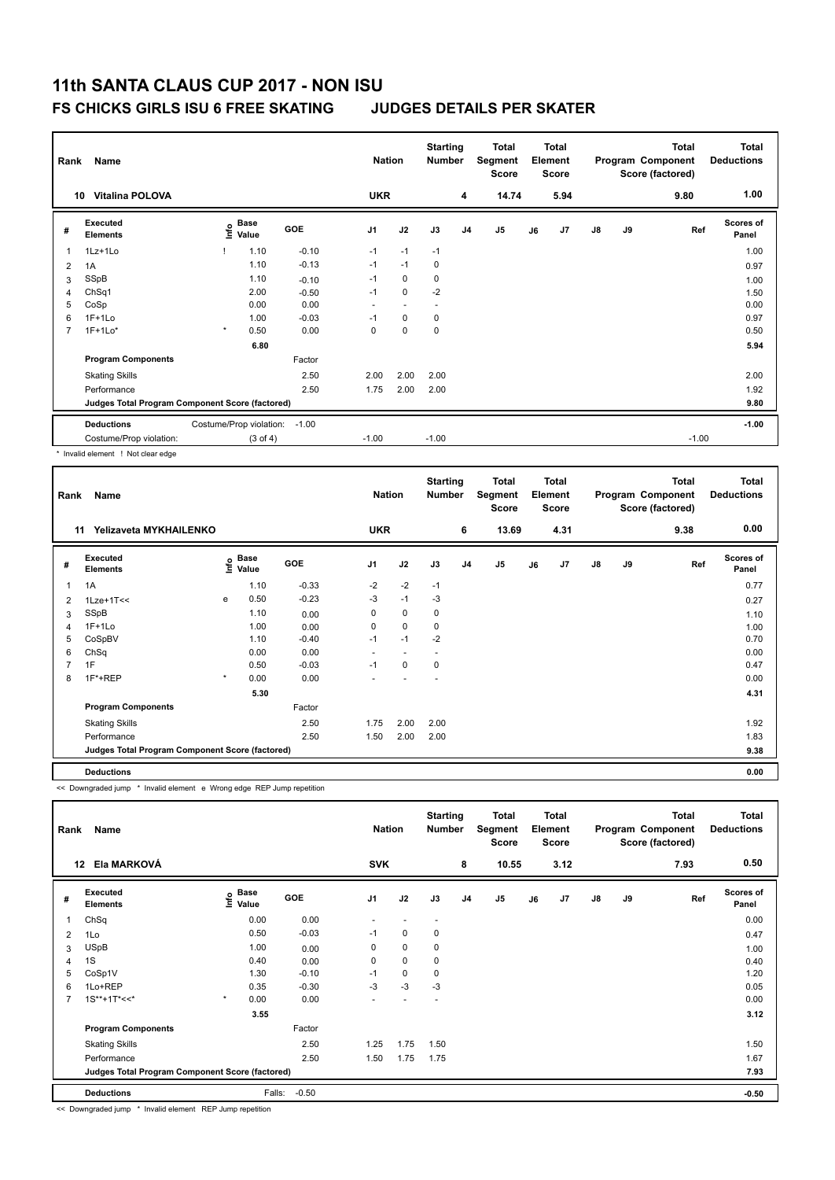### **FS CHICKS GIRLS ISU 6 FREE SKATING JUDGES DETAILS PER SKATER**

| Rank | Name                                            |              |                                  |            | <b>Nation</b>            |             | <b>Starting</b><br><b>Number</b> |                | <b>Total</b><br>Segment<br><b>Score</b> |    | <b>Total</b><br>Element<br><b>Score</b> |               |    | <b>Total</b><br>Program Component<br>Score (factored) | Total<br><b>Deductions</b> |
|------|-------------------------------------------------|--------------|----------------------------------|------------|--------------------------|-------------|----------------------------------|----------------|-----------------------------------------|----|-----------------------------------------|---------------|----|-------------------------------------------------------|----------------------------|
| 10   | <b>Vitalina POLOVA</b>                          |              |                                  |            | <b>UKR</b>               |             |                                  | 4              | 14.74                                   |    | 5.94                                    |               |    | 9.80                                                  | 1.00                       |
| #    | <b>Executed</b><br><b>Elements</b>              |              | <b>Base</b><br>e Base<br>⊆ Value | <b>GOE</b> | J <sub>1</sub>           | J2          | J3                               | J <sub>4</sub> | J5                                      | J6 | J7                                      | $\mathsf{J}8$ | J9 | Ref                                                   | <b>Scores of</b><br>Panel  |
| 1    | 1Lz+1Lo                                         |              | 1.10                             | $-0.10$    | $-1$                     | $-1$        | $-1$                             |                |                                         |    |                                         |               |    |                                                       | 1.00                       |
| 2    | 1A                                              |              | 1.10                             | $-0.13$    | $-1$                     | $-1$        | 0                                |                |                                         |    |                                         |               |    |                                                       | 0.97                       |
| 3    | SSpB                                            |              | 1.10                             | $-0.10$    | $-1$                     | $\mathbf 0$ | 0                                |                |                                         |    |                                         |               |    |                                                       | 1.00                       |
| 4    | ChSq1                                           |              | 2.00                             | $-0.50$    | $-1$                     | $\mathbf 0$ | $-2$                             |                |                                         |    |                                         |               |    |                                                       | 1.50                       |
| 5    | CoSp                                            |              | 0.00                             | 0.00       | $\overline{\phantom{a}}$ | ٠           | $\overline{\phantom{a}}$         |                |                                         |    |                                         |               |    |                                                       | 0.00                       |
| 6    | $1F+1Lo$                                        |              | 1.00                             | $-0.03$    | $-1$                     | 0           | 0                                |                |                                         |    |                                         |               |    |                                                       | 0.97                       |
| 7    | $1F+1Lo*$                                       | $\pmb{\ast}$ | 0.50                             | 0.00       | 0                        | $\mathbf 0$ | 0                                |                |                                         |    |                                         |               |    |                                                       | 0.50                       |
|      |                                                 |              | 6.80                             |            |                          |             |                                  |                |                                         |    |                                         |               |    |                                                       | 5.94                       |
|      | <b>Program Components</b>                       |              |                                  | Factor     |                          |             |                                  |                |                                         |    |                                         |               |    |                                                       |                            |
|      | <b>Skating Skills</b>                           |              |                                  | 2.50       | 2.00                     | 2.00        | 2.00                             |                |                                         |    |                                         |               |    |                                                       | 2.00                       |
|      | Performance                                     |              |                                  | 2.50       | 1.75                     | 2.00        | 2.00                             |                |                                         |    |                                         |               |    |                                                       | 1.92                       |
|      | Judges Total Program Component Score (factored) |              |                                  |            |                          |             |                                  |                |                                         |    |                                         |               |    |                                                       | 9.80                       |
|      | <b>Deductions</b>                               |              | Costume/Prop violation:          | $-1.00$    |                          |             |                                  |                |                                         |    |                                         |               |    |                                                       | $-1.00$                    |
|      | Costume/Prop violation:                         |              | $(3 \text{ of } 4)$              |            | $-1.00$                  |             | $-1.00$                          |                |                                         |    |                                         |               |    | $-1.00$                                               |                            |
|      |                                                 |              |                                  |            |                          |             |                                  |                |                                         |    |                                         |               |    |                                                       |                            |

Invalid element ! Not clear edge

| Rank | Name                                            |         |                                  |            | <b>Nation</b>  |                          | <b>Starting</b><br><b>Number</b> |                | <b>Total</b><br>Segment<br><b>Score</b> |    | <b>Total</b><br>Element<br><b>Score</b> |               |    | <b>Total</b><br>Program Component<br>Score (factored) | Total<br><b>Deductions</b> |
|------|-------------------------------------------------|---------|----------------------------------|------------|----------------|--------------------------|----------------------------------|----------------|-----------------------------------------|----|-----------------------------------------|---------------|----|-------------------------------------------------------|----------------------------|
|      | Yelizaveta MYKHAILENKO<br>11                    |         |                                  |            | <b>UKR</b>     |                          |                                  | 6              | 13.69                                   |    | 4.31                                    |               |    | 9.38                                                  | 0.00                       |
| #    | Executed<br><b>Elements</b>                     |         | <b>Base</b><br>e Base<br>⊆ Value | <b>GOE</b> | J <sub>1</sub> | J2                       | J3                               | J <sub>4</sub> | J <sub>5</sub>                          | J6 | J7                                      | $\mathsf{J}8$ | J9 | Ref                                                   | <b>Scores of</b><br>Panel  |
| 1    | 1A                                              |         | 1.10                             | $-0.33$    | $-2$           | $-2$                     | $-1$                             |                |                                         |    |                                         |               |    |                                                       | 0.77                       |
| 2    | $1$ Lze+ $1$ T<<                                | e       | 0.50                             | $-0.23$    | -3             | $-1$                     | -3                               |                |                                         |    |                                         |               |    |                                                       | 0.27                       |
| 3    | SSpB                                            |         | 1.10                             | 0.00       | 0              | $\mathbf 0$              | 0                                |                |                                         |    |                                         |               |    |                                                       | 1.10                       |
| 4    | $1F+1Lo$                                        |         | 1.00                             | 0.00       | 0              | 0                        | 0                                |                |                                         |    |                                         |               |    |                                                       | 1.00                       |
| 5    | CoSpBV                                          |         | 1.10                             | $-0.40$    | $-1$           | $-1$                     | $-2$                             |                |                                         |    |                                         |               |    |                                                       | 0.70                       |
| 6    | ChSq                                            |         | 0.00                             | 0.00       | ٠              | $\overline{\phantom{a}}$ | $\overline{\phantom{a}}$         |                |                                         |    |                                         |               |    |                                                       | 0.00                       |
|      | 1F                                              |         | 0.50                             | $-0.03$    | $-1$           | $\mathbf 0$              | 0                                |                |                                         |    |                                         |               |    |                                                       | 0.47                       |
| 8    | 1F*+REP                                         | $\star$ | 0.00                             | 0.00       |                |                          |                                  |                |                                         |    |                                         |               |    |                                                       | 0.00                       |
|      |                                                 |         | 5.30                             |            |                |                          |                                  |                |                                         |    |                                         |               |    |                                                       | 4.31                       |
|      | <b>Program Components</b>                       |         |                                  | Factor     |                |                          |                                  |                |                                         |    |                                         |               |    |                                                       |                            |
|      | <b>Skating Skills</b>                           |         |                                  | 2.50       | 1.75           | 2.00                     | 2.00                             |                |                                         |    |                                         |               |    |                                                       | 1.92                       |
|      | Performance                                     |         |                                  | 2.50       | 1.50           | 2.00                     | 2.00                             |                |                                         |    |                                         |               |    |                                                       | 1.83                       |
|      | Judges Total Program Component Score (factored) |         |                                  |            |                |                          |                                  |                |                                         |    |                                         |               |    |                                                       | 9.38                       |
|      | <b>Deductions</b>                               |         |                                  |            |                |                          |                                  |                |                                         |    |                                         |               |    |                                                       | 0.00                       |

<< Downgraded jump \* Invalid element e Wrong edge REP Jump repetition

| Rank | Name                                            |         |                             |         | <b>Nation</b>  |             | <b>Starting</b><br><b>Number</b> |                | Total<br>Segment<br><b>Score</b> |    | Total<br>Element<br><b>Score</b> |               |    | <b>Total</b><br>Program Component<br>Score (factored) | <b>Total</b><br><b>Deductions</b> |
|------|-------------------------------------------------|---------|-----------------------------|---------|----------------|-------------|----------------------------------|----------------|----------------------------------|----|----------------------------------|---------------|----|-------------------------------------------------------|-----------------------------------|
|      | Ela MARKOVÁ<br>$12 \,$                          |         |                             |         | <b>SVK</b>     |             |                                  | 8              | 10.55                            |    | 3.12                             |               |    | 7.93                                                  | 0.50                              |
| #    | Executed<br><b>Elements</b>                     |         | Base<br>$\frac{6}{5}$ Value | GOE     | J <sub>1</sub> | J2          | J3                               | J <sub>4</sub> | J <sub>5</sub>                   | J6 | J7                               | $\mathsf{J}8$ | J9 | Ref                                                   | Scores of<br>Panel                |
|      | ChSq                                            |         | 0.00                        | 0.00    | ٠              |             | $\overline{\phantom{a}}$         |                |                                  |    |                                  |               |    |                                                       | 0.00                              |
| 2    | 1Lo                                             |         | 0.50                        | $-0.03$ | $-1$           | 0           | 0                                |                |                                  |    |                                  |               |    |                                                       | 0.47                              |
| 3    | <b>USpB</b>                                     |         | 1.00                        | 0.00    | 0              | $\mathbf 0$ | 0                                |                |                                  |    |                                  |               |    |                                                       | 1.00                              |
| 4    | 1S                                              |         | 0.40                        | 0.00    | 0              | $\mathbf 0$ | 0                                |                |                                  |    |                                  |               |    |                                                       | 0.40                              |
| 5    | CoSp1V                                          |         | 1.30                        | $-0.10$ | $-1$           | $\mathbf 0$ | 0                                |                |                                  |    |                                  |               |    |                                                       | 1.20                              |
| 6    | 1Lo+REP                                         |         | 0.35                        | $-0.30$ | $-3$           | $-3$        | $-3$                             |                |                                  |    |                                  |               |    |                                                       | 0.05                              |
| 7    | $1S^{**}+1T^*<<$                                | $\star$ | 0.00                        | 0.00    |                |             |                                  |                |                                  |    |                                  |               |    |                                                       | 0.00                              |
|      |                                                 |         | 3.55                        |         |                |             |                                  |                |                                  |    |                                  |               |    |                                                       | 3.12                              |
|      | <b>Program Components</b>                       |         |                             | Factor  |                |             |                                  |                |                                  |    |                                  |               |    |                                                       |                                   |
|      | <b>Skating Skills</b>                           |         |                             | 2.50    | 1.25           | 1.75        | 1.50                             |                |                                  |    |                                  |               |    |                                                       | 1.50                              |
|      | Performance                                     |         |                             | 2.50    | 1.50           | 1.75        | 1.75                             |                |                                  |    |                                  |               |    |                                                       | 1.67                              |
|      | Judges Total Program Component Score (factored) |         |                             |         |                |             |                                  |                |                                  |    |                                  |               |    |                                                       | 7.93                              |
|      | <b>Deductions</b>                               |         | Falls:                      | $-0.50$ |                |             |                                  |                |                                  |    |                                  |               |    |                                                       | $-0.50$                           |

<< Downgraded jump \* Invalid element REP Jump repetition